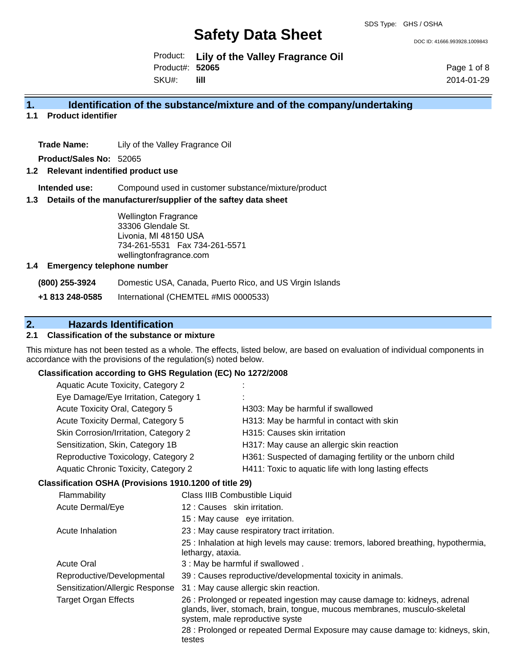DOC ID: 41666.993928.1009843

Product: **Lily of the Valley Fragrance Oil** SKU#: Product#: **52065 lill**

Page 1 of 8 2014-01-29

### **1. Identification of the substance/mixture and of the company/undertaking**

### **1.1 Product identifier**

**Trade Name:** Lily of the Valley Fragrance Oil

**Product/Sales No:** 52065

#### **1.2 Relevant indentified product use**

**Intended use:** Compound used in customer substance/mixture/product

### **1.3 Details of the manufacturer/supplier of the saftey data sheet**

Wellington Fragrance 33306 Glendale St. Livonia, MI 48150 USA 734-261-5531 Fax 734-261-5571 wellingtonfragrance.com

#### **1.4 Emergency telephone number**

**(800) 255-3924** Domestic USA, Canada, Puerto Rico, and US Virgin Islands

**+1 813 248-0585** International (CHEMTEL #MIS 0000533)

# **2. Hazards Identification**

### **2.1 Classification of the substance or mixture**

This mixture has not been tested as a whole. The effects, listed below, are based on evaluation of individual components in accordance with the provisions of the regulation(s) noted below.

#### **Classification according to GHS Regulation (EC) No 1272/2008**

| Aquatic Acute Toxicity, Category 2    | ÷                                                         |
|---------------------------------------|-----------------------------------------------------------|
| Eye Damage/Eye Irritation, Category 1 | ٠.<br>٠                                                   |
| Acute Toxicity Oral, Category 5       | H303: May be harmful if swallowed                         |
| Acute Toxicity Dermal, Category 5     | H313: May be harmful in contact with skin                 |
| Skin Corrosion/Irritation, Category 2 | H315: Causes skin irritation                              |
| Sensitization, Skin, Category 1B      | H317: May cause an allergic skin reaction                 |
| Reproductive Toxicology, Category 2   | H361: Suspected of damaging fertility or the unborn child |
| Aquatic Chronic Toxicity, Category 2  | H411: Toxic to aquatic life with long lasting effects     |
|                                       |                                                           |

### **Classification OSHA (Provisions 1910.1200 of title 29)**

| Flammability                    | Class IIIB Combustible Liquid                                                                                                                                                              |
|---------------------------------|--------------------------------------------------------------------------------------------------------------------------------------------------------------------------------------------|
| Acute Dermal/Eye                | 12: Causes skin irritation.                                                                                                                                                                |
|                                 | 15 : May cause eye irritation.                                                                                                                                                             |
| Acute Inhalation                | 23 : May cause respiratory tract irritation.                                                                                                                                               |
|                                 | 25 : Inhalation at high levels may cause: tremors, labored breathing, hypothermia,<br>lethargy, ataxia.                                                                                    |
| <b>Acute Oral</b>               | 3 : May be harmful if swallowed.                                                                                                                                                           |
| Reproductive/Developmental      | 39 : Causes reproductive/developmental toxicity in animals.                                                                                                                                |
| Sensitization/Allergic Response | 31 : May cause allergic skin reaction.                                                                                                                                                     |
| <b>Target Organ Effects</b>     | 26 : Prolonged or repeated ingestion may cause damage to: kidneys, adrenal<br>glands, liver, stomach, brain, tongue, mucous membranes, musculo-skeletal<br>system, male reproductive syste |
|                                 | 28 : Prolonged or repeated Dermal Exposure may cause damage to: kidneys, skin,<br>testes                                                                                                   |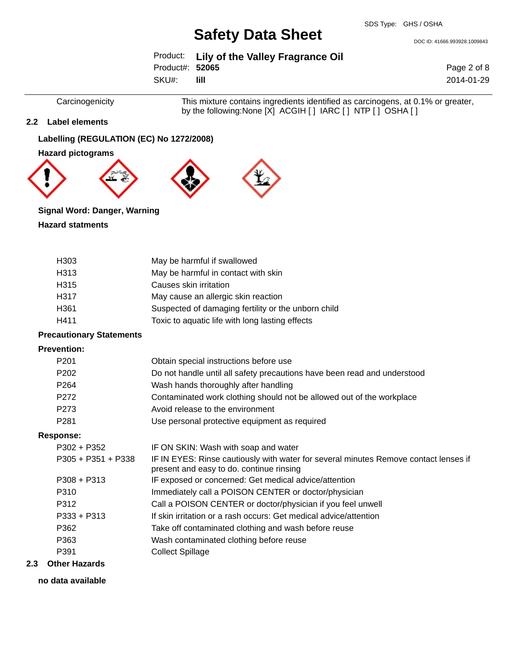DOC ID: 41666.993928.1009843

|                 | Product: Lily of the Valley Fragrance Oil |
|-----------------|-------------------------------------------|
| Product#: 52065 |                                           |
| SKU#:           | -lill                                     |

Page 2 of 8 2014-01-29

Carcinogenicity This mixture contains ingredients identified as carcinogens, at 0.1% or greater, by the following:None [X] ACGIH [ ] IARC [ ] NTP [ ] OSHA [ ]

### **2.2 Label elements**

### **Labelling (REGULATION (EC) No 1272/2008)**

**Hazard pictograms**



### **Signal Word: Danger, Warning**

### **Hazard statments**

| H303                            | May be harmful if swallowed                                                                                                      |
|---------------------------------|----------------------------------------------------------------------------------------------------------------------------------|
| H313                            | May be harmful in contact with skin                                                                                              |
| H315                            | Causes skin irritation                                                                                                           |
| H317                            | May cause an allergic skin reaction                                                                                              |
| H361                            | Suspected of damaging fertility or the unborn child                                                                              |
| H411                            | Toxic to aquatic life with long lasting effects                                                                                  |
| <b>Precautionary Statements</b> |                                                                                                                                  |
| <b>Prevention:</b>              |                                                                                                                                  |
| P <sub>201</sub>                | Obtain special instructions before use                                                                                           |
| P <sub>202</sub>                | Do not handle until all safety precautions have been read and understood                                                         |
| P <sub>264</sub>                | Wash hands thoroughly after handling                                                                                             |
| P <sub>272</sub>                | Contaminated work clothing should not be allowed out of the workplace                                                            |
| P <sub>273</sub>                | Avoid release to the environment                                                                                                 |
| P281                            | Use personal protective equipment as required                                                                                    |
| <b>Response:</b>                |                                                                                                                                  |
| $P302 + P352$                   | IF ON SKIN: Wash with soap and water                                                                                             |
| $P305 + P351 + P338$            | IF IN EYES: Rinse cautiously with water for several minutes Remove contact lenses if<br>present and easy to do. continue rinsing |
| $P308 + P313$                   | IF exposed or concerned: Get medical advice/attention                                                                            |
| P310                            | Immediately call a POISON CENTER or doctor/physician                                                                             |
| P312                            | Call a POISON CENTER or doctor/physician if you feel unwell                                                                      |
| $P333 + P313$                   | If skin irritation or a rash occurs: Get medical advice/attention                                                                |
| P362                            | Take off contaminated clothing and wash before reuse                                                                             |
| P363                            | Wash contaminated clothing before reuse                                                                                          |
| P391                            | <b>Collect Spillage</b>                                                                                                          |

### **2.3 Other Hazards**

**no data available**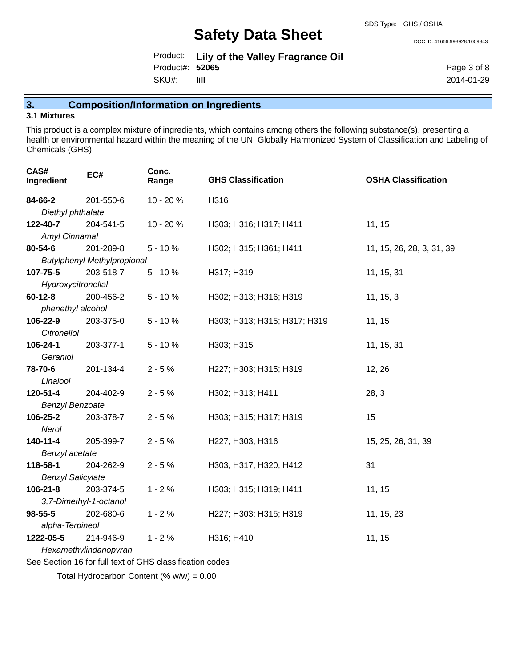DOC ID: 41666.993928.1009843

|                 | Product: Lily of the Valley Fragrance Oil |
|-----------------|-------------------------------------------|
| Product#: 52065 |                                           |
| SKU#:           | -lill                                     |

Page 3 of 8 2014-01-29

**3. Composition/Information on Ingredients**

### **3.1 Mixtures**

This product is a complex mixture of ingredients, which contains among others the following substance(s), presenting a health or environmental hazard within the meaning of the UN Globally Harmonized System of Classification and Labeling of Chemicals (GHS):

| CAS#<br>Ingredient       | EC#                                | Conc.<br>Range | <b>GHS Classification</b>    | <b>OSHA Classification</b> |
|--------------------------|------------------------------------|----------------|------------------------------|----------------------------|
| 84-66-2                  | 201-550-6                          | 10 - 20 %      | H316                         |                            |
| Diethyl phthalate        |                                    |                |                              |                            |
| 122-40-7                 | 204-541-5                          | 10 - 20 %      | H303; H316; H317; H411       | 11, 15                     |
| Amyl Cinnamal            |                                    |                |                              |                            |
| 80-54-6                  | 201-289-8                          | $5 - 10%$      | H302; H315; H361; H411       | 11, 15, 26, 28, 3, 31, 39  |
|                          | <b>Butylphenyl Methylpropional</b> |                |                              |                            |
| 107-75-5                 | 203-518-7                          | $5 - 10%$      | H317; H319                   | 11, 15, 31                 |
| Hydroxycitronellal       |                                    |                |                              |                            |
| $60 - 12 - 8$            | 200-456-2                          | $5 - 10%$      | H302; H313; H316; H319       | 11, 15, 3                  |
| phenethyl alcohol        |                                    |                |                              |                            |
| 106-22-9                 | 203-375-0                          | $5 - 10%$      | H303; H313; H315; H317; H319 | 11, 15                     |
| <b>Citronellol</b>       |                                    |                |                              |                            |
| 106-24-1                 | 203-377-1                          | $5 - 10%$      | H303; H315                   | 11, 15, 31                 |
| Geraniol                 |                                    |                |                              |                            |
| 78-70-6                  | 201-134-4                          | $2 - 5%$       | H227; H303; H315; H319       | 12, 26                     |
| Linalool                 |                                    |                |                              |                            |
| 120-51-4                 | 204-402-9                          | $2 - 5%$       | H302; H313; H411             | 28, 3                      |
| <b>Benzyl Benzoate</b>   |                                    |                |                              |                            |
| 106-25-2                 | 203-378-7                          | $2 - 5%$       | H303; H315; H317; H319       | 15                         |
| Nerol                    |                                    |                |                              |                            |
| 140-11-4                 | 205-399-7                          | $2 - 5%$       | H227; H303; H316             | 15, 25, 26, 31, 39         |
| Benzyl acetate           |                                    |                |                              |                            |
| 118-58-1                 | 204-262-9                          | $2 - 5%$       | H303; H317; H320; H412       | 31                         |
| <b>Benzyl Salicylate</b> |                                    |                |                              |                            |
| $106 - 21 - 8$           | 203-374-5                          | $1 - 2%$       | H303; H315; H319; H411       | 11, 15                     |
|                          | 3,7-Dimethyl-1-octanol             |                |                              |                            |
| $98 - 55 - 5$            | 202-680-6                          | $1 - 2%$       | H227; H303; H315; H319       | 11, 15, 23                 |
| alpha-Terpineol          |                                    |                |                              |                            |
| 1222-05-5                | 214-946-9                          | $1 - 2%$       | H316; H410                   | 11, 15                     |
|                          | Hexamethylindanopyran              |                |                              |                            |

See Section 16 for full text of GHS classification codes

Total Hydrocarbon Content (% w/w) = 0.00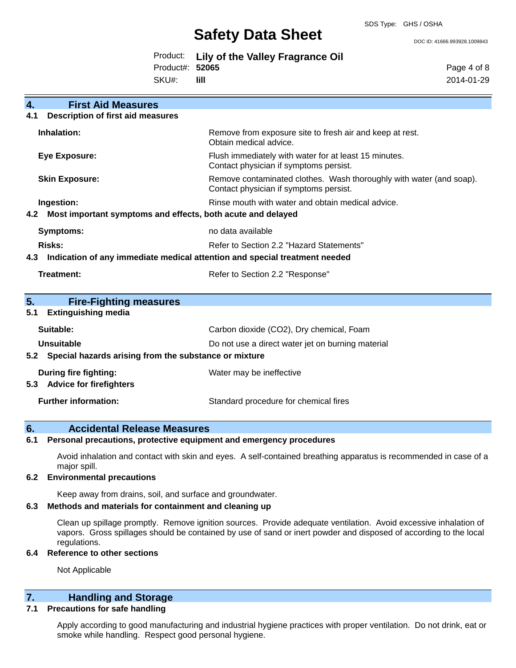DOC ID: 41666.993928.1009843

|                 | Product: Lily of the Valley Fragrance Oil |
|-----------------|-------------------------------------------|
| Product#: 52065 |                                           |
| SKU#: III       |                                           |

Page 4 of 8 2014-01-29

| 4.<br><b>First Aid Measures</b>                                    |                                                                                                               |
|--------------------------------------------------------------------|---------------------------------------------------------------------------------------------------------------|
| <b>Description of first aid measures</b><br>4.1                    |                                                                                                               |
| Inhalation:                                                        | Remove from exposure site to fresh air and keep at rest.<br>Obtain medical advice.                            |
| <b>Eye Exposure:</b>                                               | Flush immediately with water for at least 15 minutes.<br>Contact physician if symptoms persist.               |
| <b>Skin Exposure:</b>                                              | Remove contaminated clothes. Wash thoroughly with water (and soap).<br>Contact physician if symptoms persist. |
| Ingestion:                                                         | Rinse mouth with water and obtain medical advice.                                                             |
| Most important symptoms and effects, both acute and delayed<br>4.2 |                                                                                                               |
| <b>Symptoms:</b>                                                   | no data available                                                                                             |
| Risks:                                                             | Refer to Section 2.2 "Hazard Statements"                                                                      |
| 4.3                                                                | Indication of any immediate medical attention and special treatment needed                                    |
|                                                                    |                                                                                                               |
| <b>Treatment:</b>                                                  | Refer to Section 2.2 "Response"                                                                               |
| 5.<br><b>Fire-Fighting measures</b>                                |                                                                                                               |
| <b>Extinguishing media</b><br>5.1                                  |                                                                                                               |
| Suitable:                                                          | Carbon dioxide (CO2), Dry chemical, Foam                                                                      |
| Unsuitable                                                         | Do not use a direct water jet on burning material                                                             |
| Special hazards arising from the substance or mixture<br>5.2       |                                                                                                               |
| During fire fighting:<br><b>Advice for firefighters</b><br>5.3     | Water may be ineffective                                                                                      |
| <b>Further information:</b>                                        | Standard procedure for chemical fires                                                                         |

### **6. Accidental Release Measures**

### **6.1 Personal precautions, protective equipment and emergency procedures**

Avoid inhalation and contact with skin and eyes. A self-contained breathing apparatus is recommended in case of a major spill.

### **6.2 Environmental precautions**

Keep away from drains, soil, and surface and groundwater.

### **6.3 Methods and materials for containment and cleaning up**

Clean up spillage promptly. Remove ignition sources. Provide adequate ventilation. Avoid excessive inhalation of vapors. Gross spillages should be contained by use of sand or inert powder and disposed of according to the local regulations.

### **6.4 Reference to other sections**

Not Applicable

# **7. Handling and Storage**

### **7.1 Precautions for safe handling**

Apply according to good manufacturing and industrial hygiene practices with proper ventilation. Do not drink, eat or smoke while handling. Respect good personal hygiene.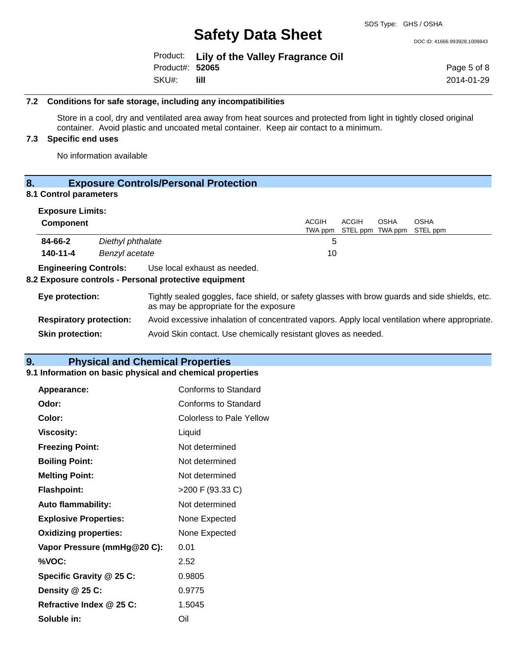DOC ID: 41666.993928.1009843

|                 | Product: Lily of the Valley Fragrance Oil |
|-----------------|-------------------------------------------|
| Product#: 52065 |                                           |
| SKU#:           | -lill-                                    |

Page 5 of 8 2014-01-29

### **7.2 Conditions for safe storage, including any incompatibilities**

Store in a cool, dry and ventilated area away from heat sources and protected from light in tightly closed original container. Avoid plastic and uncoated metal container. Keep air contact to a minimum.

### **7.3 Specific end uses**

No information available

# **8. Exposure Controls/Personal Protection**

### **8.1 Control parameters**

| <b>Exposure Limits:</b>        |                   |                                                                                                                                          |                         |                           |      |                         |
|--------------------------------|-------------------|------------------------------------------------------------------------------------------------------------------------------------------|-------------------------|---------------------------|------|-------------------------|
| <b>Component</b>               |                   |                                                                                                                                          | <b>ACGIH</b><br>TWA ppm | ACGIH<br>STEL ppm TWA ppm | OSHA | <b>OSHA</b><br>STEL ppm |
| 84-66-2                        | Diethyl phthalate |                                                                                                                                          | 5                       |                           |      |                         |
| 140-11-4                       | Benzyl acetate    |                                                                                                                                          | 10                      |                           |      |                         |
| <b>Engineering Controls:</b>   |                   | Use local exhaust as needed.<br>8.2 Exposure controls - Personal protective equipment                                                    |                         |                           |      |                         |
| Eye protection:                |                   | Tightly sealed goggles, face shield, or safety glasses with brow guards and side shields, etc.<br>as may be appropriate for the exposure |                         |                           |      |                         |
| <b>Respiratory protection:</b> |                   | Avoid excessive inhalation of concentrated vapors. Apply local ventilation where appropriate.                                            |                         |                           |      |                         |
| <b>Skin protection:</b>        |                   | Avoid Skin contact. Use chemically resistant gloves as needed.                                                                           |                         |                           |      |                         |

# **9. Physical and Chemical Properties**

### **9.1 Information on basic physical and chemical properties**

| Appearance:                  | <b>Conforms to Standard</b>     |
|------------------------------|---------------------------------|
| Odor:                        | Conforms to Standard            |
| Color:                       | <b>Colorless to Pale Yellow</b> |
| <b>Viscosity:</b>            | Liquid                          |
| <b>Freezing Point:</b>       | Not determined                  |
| <b>Boiling Point:</b>        | Not determined                  |
| <b>Melting Point:</b>        | Not determined                  |
| <b>Flashpoint:</b>           | >200 F (93.33 C)                |
| Auto flammability:           | Not determined                  |
| <b>Explosive Properties:</b> | None Expected                   |
| <b>Oxidizing properties:</b> | None Expected                   |
| Vapor Pressure (mmHg@20 C):  | 0.01                            |
| %VOC:                        | 2.52                            |
| Specific Gravity @ 25 C:     | 0.9805                          |
| Density @ 25 C:              | 0.9775                          |
| Refractive Index @ 25 C:     | 1.5045                          |
| Soluble in:                  | Oil                             |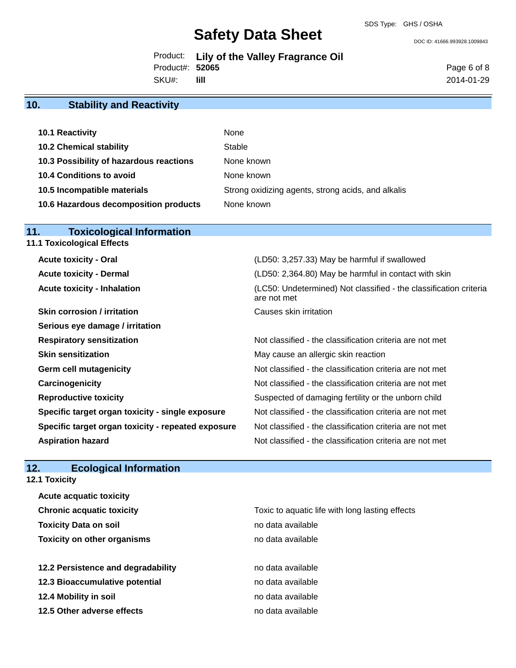DOC ID: 41666.993928.1009843

Product: **Lily of the Valley Fragrance Oil** SKU#: Product#: **52065 lill**

Page 6 of 8 2014-01-29

# **10. Stability and Reactivity**

| 10.1 Reactivity                         | None                                               |
|-----------------------------------------|----------------------------------------------------|
| <b>10.2 Chemical stability</b>          | Stable                                             |
| 10.3 Possibility of hazardous reactions | None known                                         |
| <b>10.4 Conditions to avoid</b>         | None known                                         |
| 10.5 Incompatible materials             | Strong oxidizing agents, strong acids, and alkalis |
| 10.6 Hazardous decomposition products   | None known                                         |

### **11. Toxicological Information**

| <b>11.1 Toxicological Effects</b>  |  |
|------------------------------------|--|
| <b>Acute toxicity - Oral</b>       |  |
| <b>Acute toxicity - Dermal</b>     |  |
| <b>Acute toxicity - Inhalation</b> |  |

| <b>Skin corrosion / irritation</b>                 | Causes skin irritation   |
|----------------------------------------------------|--------------------------|
| Serious eye damage / irritation                    |                          |
| <b>Respiratory sensitization</b>                   | Not classified - the cla |
| <b>Skin sensitization</b>                          | May cause an allergio    |
| <b>Germ cell mutagenicity</b>                      | Not classified - the cla |
| Carcinogenicity                                    | Not classified - the cla |
| <b>Reproductive toxicity</b>                       | Suspected of damagi      |
| Specific target organ toxicity - single exposure   | Not classified - the cla |
| Specific target organ toxicity - repeated exposure | Not classified - the cla |
| <b>Aspiration hazard</b>                           | Not classified - the cla |

# (LD50: 3,257.33) May be harmful if swallowed **(LD50: 2,364.80) May be harmful in contact with skin** (LC50: Undetermined) Not classified - the classification criteria are not met

Not classified - the classification criteria are not met May cause an allergic skin reaction Not classified - the classification criteria are not met Not classified - the classification criteria are not met Suspected of damaging fertility or the unborn child Not classified - the classification criteria are not met **Pecify - Specific Specific Specific Specific and Specific Specific Specific Specific Specification Criteria are not met** Not classified - the classification criteria are not met

# **12. Ecological Information**

**Acute acquatic toxicity**

**12.1 Toxicity**

| <b>Chronic acquatic toxicity</b>   | Toxic to aquatic life with long lasting effects |
|------------------------------------|-------------------------------------------------|
| <b>Toxicity Data on soil</b>       | no data available                               |
| <b>Toxicity on other organisms</b> | no data available                               |
| 12.2 Persistence and degradability | no data available                               |
| 12.3 Bioaccumulative potential     | no data available                               |
| 12.4 Mobility in soil              | no data available                               |
| 12.5 Other adverse effects         | no data available                               |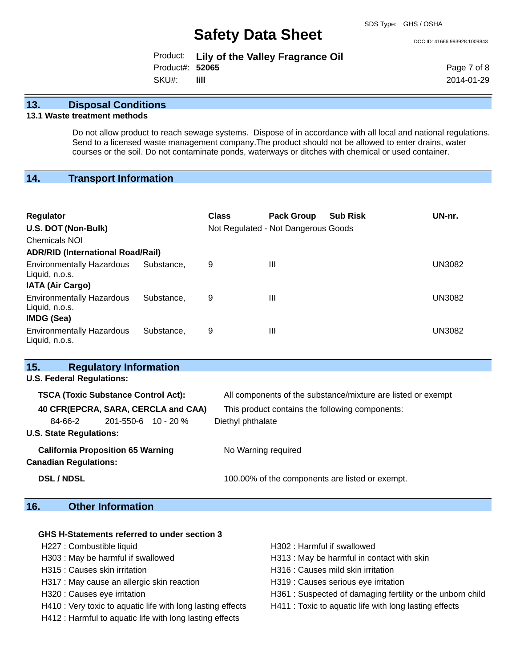DOC ID: 41666.993928.1009843

|                 | Product: Lily of the Valley Fragrance Oil |
|-----------------|-------------------------------------------|
| Product#: 52065 |                                           |
| SKU#:           | - Till -                                  |

Page 7 of 8 2014-01-29

### **13. Disposal Conditions**

### **13.1 Waste treatment methods**

Do not allow product to reach sewage systems. Dispose of in accordance with all local and national regulations. Send to a licensed waste management company.The product should not be allowed to enter drains, water courses or the soil. Do not contaminate ponds, waterways or ditches with chemical or used container.

# **14. Transport Information**

| <b>Regulator</b><br>U.S. DOT (Non-Bulk)<br><b>Chemicals NOI</b> |            | <b>Class</b> | <b>Pack Group</b><br>Not Regulated - Not Dangerous Goods | <b>Sub Risk</b> | UN-nr.        |
|-----------------------------------------------------------------|------------|--------------|----------------------------------------------------------|-----------------|---------------|
| <b>ADR/RID (International Road/Rail)</b>                        |            |              |                                                          |                 |               |
| <b>Environmentally Hazardous</b><br>Liquid, n.o.s.              | Substance. | 9            | $\mathbf{III}$                                           |                 | <b>UN3082</b> |
| <b>IATA (Air Cargo)</b>                                         |            |              |                                                          |                 |               |
| <b>Environmentally Hazardous</b><br>Liquid, n.o.s.              | Substance. | 9            | $\mathbf{III}$                                           |                 | <b>UN3082</b> |
| <b>IMDG (Sea)</b>                                               |            |              |                                                          |                 |               |
| <b>Environmentally Hazardous</b><br>Liquid, n.o.s.              | Substance. | 9            | $\mathbf{III}$                                           |                 | <b>UN3082</b> |

| 15.                              | <b>Regulatory Information</b>              |                                                              |
|----------------------------------|--------------------------------------------|--------------------------------------------------------------|
| <b>U.S. Federal Regulations:</b> |                                            |                                                              |
|                                  | <b>TSCA (Toxic Substance Control Act):</b> | All components of the substance/mixture are listed or exempt |
|                                  | 40 CFR(EPCRA, SARA, CERCLA and CAA)        | This product contains the following components:              |
| 84-66-2                          | $201 - 550 - 6$ 10 - 20 %                  | Diethyl phthalate                                            |
| <b>U.S. State Regulations:</b>   |                                            |                                                              |
| <b>Canadian Regulations:</b>     | <b>California Proposition 65 Warning</b>   | No Warning required                                          |
| <b>DSL / NDSL</b>                |                                            | 100.00% of the components are listed or exempt.              |

# **16. Other Information**

| GHS H-Statements referred to under section 3                |                                                           |
|-------------------------------------------------------------|-----------------------------------------------------------|
| H227 : Combustible liquid                                   | H302: Harmful if swallowed                                |
| H303 : May be harmful if swallowed                          | H313 : May be harmful in contact with skin                |
| H315 : Causes skin irritation                               | H316 : Causes mild skin irritation                        |
| H317 : May cause an allergic skin reaction                  | H319 : Causes serious eye irritation                      |
| H320 : Causes eye irritation                                | H361: Suspected of damaging fertility or the unborn child |
| H410 : Very toxic to aquatic life with long lasting effects | H411 : Toxic to aquatic life with long lasting effects    |

H412 : Harmful to aquatic life with long lasting effects

- 
-